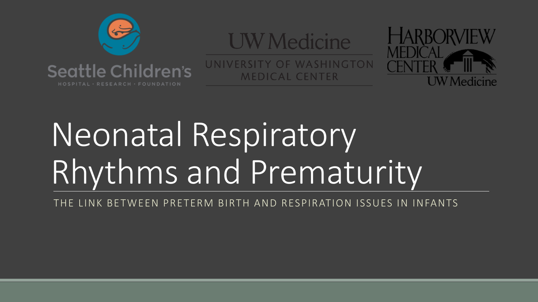

#### **UW** Medicine

UNIVERSITY OF WASHINGTON **MEDICAL CENTER** 



# Neonatal Respiratory Rhythms and Prematurity

THE LINK BETWEEN PRETERM BIRTH AND RESPIRATION ISSUES IN INFANTS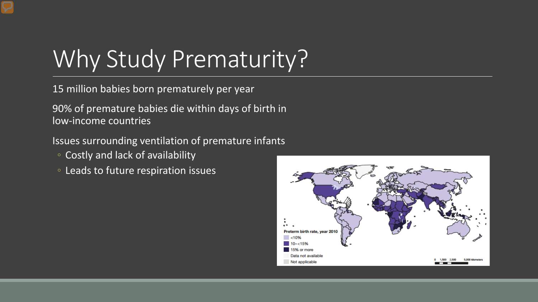# Why Study Prematurity?

15 million babies born prematurely per year

90% of premature babies die within days of birth in low-income countries

Issues surrounding ventilation of premature infants

- Costly and lack of availability
- Leads to future respiration issues

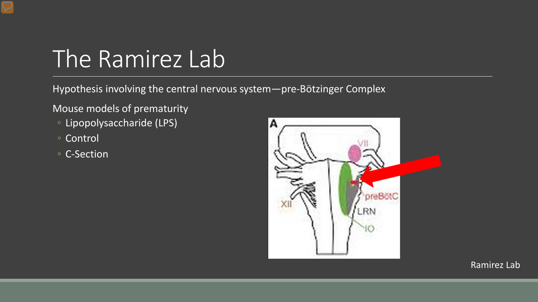# The Ramirez Lab

Hypothesis involving the central nervous system—pre-Bötzinger Complex

Mouse models of prematurity

- Lipopolysaccharide (LPS)
- Control
- C-Section

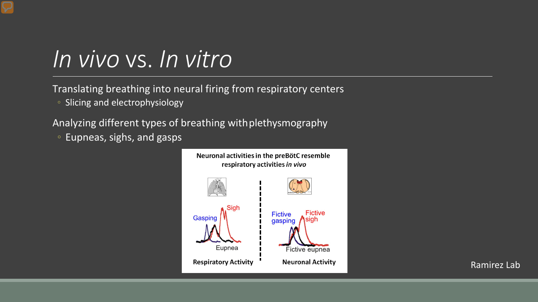### *In vivo* vs. *In vitro*

Translating breathing into neural firing from respiratory centers

◦ Slicing and electrophysiology

Analyzing different types of breathing with plethysmography

◦ Eupneas, sighs, and gasps

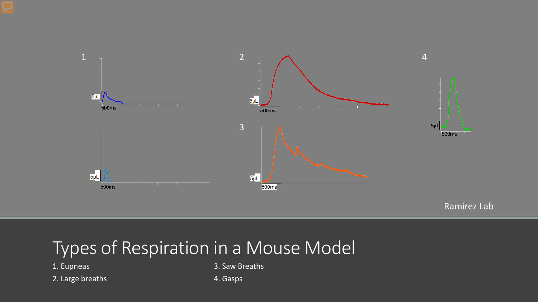



#### Types of Respiration in a Mouse Model

2. Large breaths **4. Gasps** 

1. Eupneas 3. Saw Breaths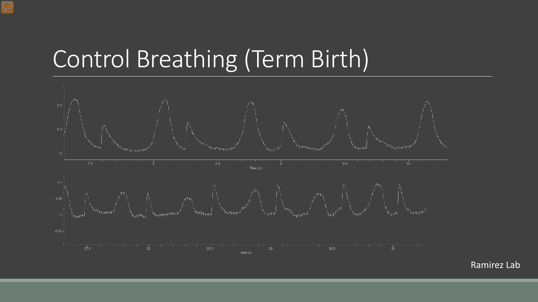# Control Breathing (Term Birth)

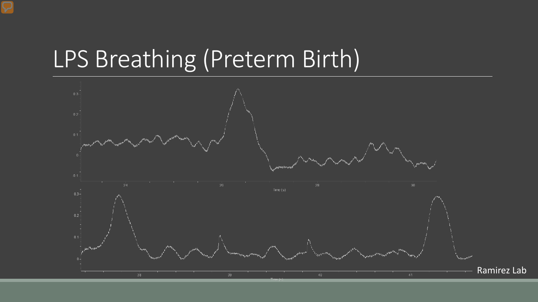### LPS Breathing (Preterm Birth)

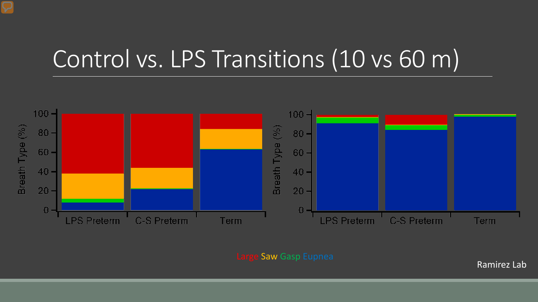## Control vs. LPS Transitions (10 vs 60 m)



e Saw Gasp Eupnea Ramirez Lab Ramirez Lab Ramirez Lab Ramirez Lab Ramirez Lab Ramirez Lab Ramirez Lab Ramirez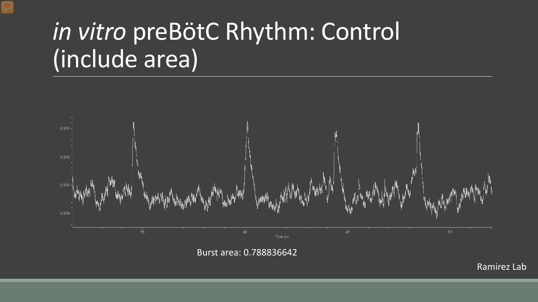# *in vitro* preBötC Rhythm: Control (include area)



Burst area: 0.788836642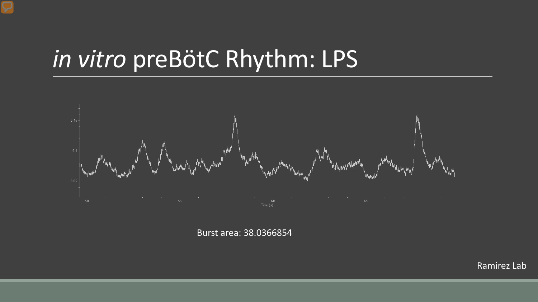# *in vitro* preBötC Rhythm: LPS



Burst area: 38.0366854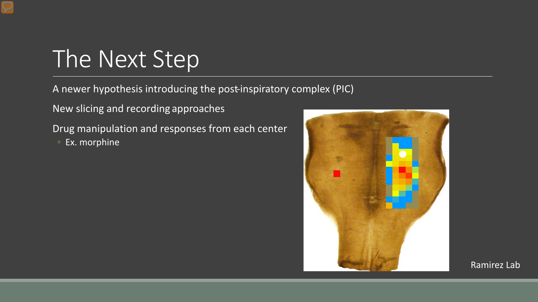# The Next Step

A newer hypothesis introducing the post-inspiratory complex (PIC)

New slicing and recording approaches

Drug manipulation and responses from each center ◦ Ex. morphine